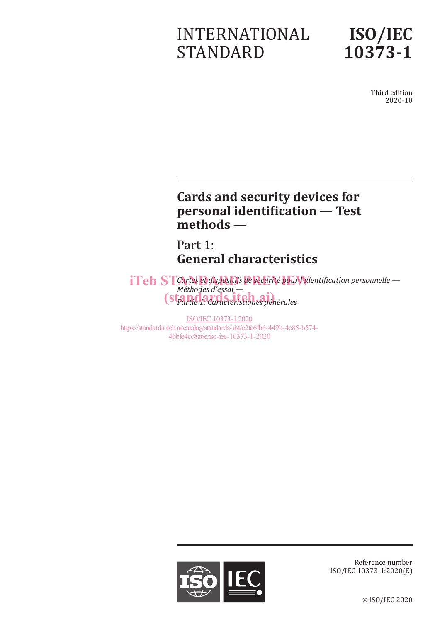# INTERNATIONAL STANDARD



Third edition 2020-10

## **Cards and security devices for personal identification — Test methods —**

Part 1: **General characteristics**

*iTeh ST Cartes et dispositifs de sécurité pour l'identification personnelle* — *Méthodes d'essai — Partie 1: Caractéristiques générales* 

ISO/IEC 10373-1:2020 https://standards.iteh.ai/catalog/standards/sist/e2fe6fb6-449b-4c85-b574- 46bfe4cc8a6e/iso-iec-10373-1-2020



Reference number ISO/IEC 10373-1:2020(E)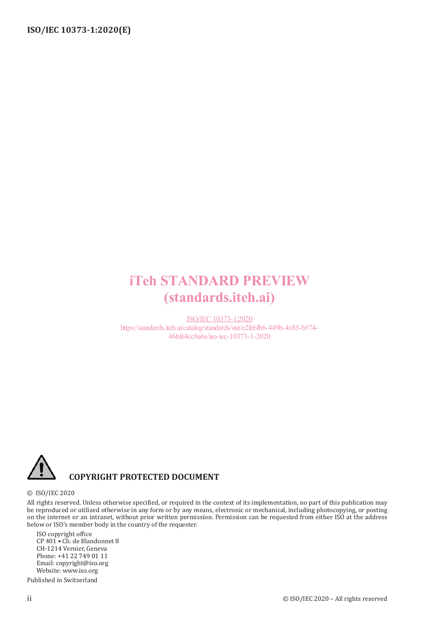## iTeh STANDARD PREVIEW (standards.iteh.ai)

ISO/IEC 10373-1:2020 https://standards.iteh.ai/catalog/standards/sist/e2fe6fb6-449b-4c85-b574- 46bfe4cc8a6e/iso-iec-10373-1-2020



### **COPYRIGHT PROTECTED DOCUMENT**

#### © ISO/IEC 2020

All rights reserved. Unless otherwise specified, or required in the context of its implementation, no part of this publication may be reproduced or utilized otherwise in any form or by any means, electronic or mechanical, including photocopying, or posting on the internet or an intranet, without prior written permission. Permission can be requested from either ISO at the address below or ISO's member body in the country of the requester.

ISO copyright office CP 401 • Ch. de Blandonnet 8 CH-1214 Vernier, Geneva Phone: +41 22 749 01 11 Email: copyright@iso.org Website: www.iso.org

Published in Switzerland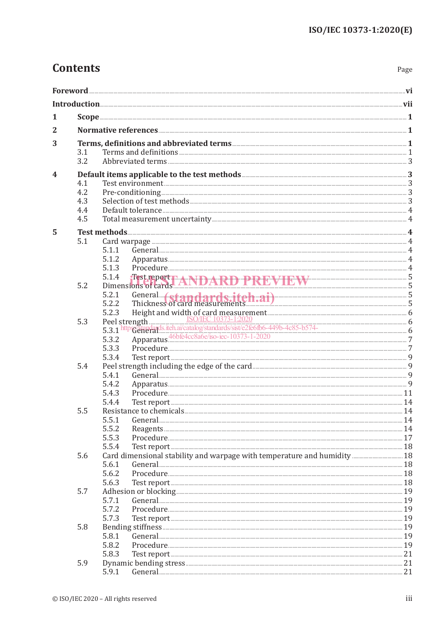Page

| <b>Contents</b> |
|-----------------|
|-----------------|

| 1 |            |                                         |  |  |  |  |  |
|---|------------|-----------------------------------------|--|--|--|--|--|
|   |            |                                         |  |  |  |  |  |
| 2 |            |                                         |  |  |  |  |  |
| 3 |            |                                         |  |  |  |  |  |
|   | 3.1<br>3.2 |                                         |  |  |  |  |  |
|   |            |                                         |  |  |  |  |  |
| 4 |            |                                         |  |  |  |  |  |
|   | 4.1<br>4.2 |                                         |  |  |  |  |  |
|   | 4.3        |                                         |  |  |  |  |  |
|   | 4.4        |                                         |  |  |  |  |  |
|   | 4.5        |                                         |  |  |  |  |  |
| 5 |            |                                         |  |  |  |  |  |
|   | 5.1        |                                         |  |  |  |  |  |
|   |            | 5.1.1                                   |  |  |  |  |  |
|   |            | 5.1.2                                   |  |  |  |  |  |
|   |            | 5.1.3                                   |  |  |  |  |  |
|   | 5.2        | 5.1.4 Fest report ANDARD PREVIEW 55     |  |  |  |  |  |
|   |            | 5.2.1                                   |  |  |  |  |  |
|   |            | General (stampedamels itch.ai)<br>5.2.2 |  |  |  |  |  |
|   |            |                                         |  |  |  |  |  |
|   | 5.3        |                                         |  |  |  |  |  |
|   |            |                                         |  |  |  |  |  |
|   |            |                                         |  |  |  |  |  |
|   |            | 5.3.3                                   |  |  |  |  |  |
|   | 5.4        | 5.3.4                                   |  |  |  |  |  |
|   |            | 5.4.1                                   |  |  |  |  |  |
|   |            | 5.4.2                                   |  |  |  |  |  |
|   |            | 5.4.3                                   |  |  |  |  |  |
|   |            | 5.4.4                                   |  |  |  |  |  |
|   | 5.5        |                                         |  |  |  |  |  |
|   |            | 5.5.1                                   |  |  |  |  |  |
|   |            | 5.5.2<br>5.5.3                          |  |  |  |  |  |
|   |            | 5.5.4                                   |  |  |  |  |  |
|   | 5.6        |                                         |  |  |  |  |  |
|   |            | 5.6.1                                   |  |  |  |  |  |
|   |            | 5.6.2                                   |  |  |  |  |  |
|   |            | 5.6.3                                   |  |  |  |  |  |
|   | 5.7        |                                         |  |  |  |  |  |
|   |            | 5.7.1<br>5.7.2                          |  |  |  |  |  |
|   |            | 5.7.3                                   |  |  |  |  |  |
|   | 5.8        |                                         |  |  |  |  |  |
|   |            | 5.8.1                                   |  |  |  |  |  |
|   |            | 5.8.2                                   |  |  |  |  |  |
|   |            | 5.8.3                                   |  |  |  |  |  |
|   | 5.9        |                                         |  |  |  |  |  |
|   |            | 5.9.1                                   |  |  |  |  |  |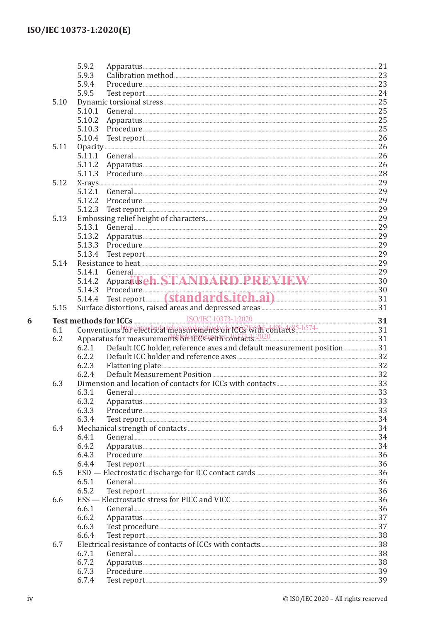|      | 5.9.2                                                                                                                                                                                                  |     |  |  |  |
|------|--------------------------------------------------------------------------------------------------------------------------------------------------------------------------------------------------------|-----|--|--|--|
|      | 5.9.3                                                                                                                                                                                                  |     |  |  |  |
|      | 5.9.4                                                                                                                                                                                                  |     |  |  |  |
|      | 5.9.5                                                                                                                                                                                                  |     |  |  |  |
| 5.10 |                                                                                                                                                                                                        |     |  |  |  |
|      | 5.10.1                                                                                                                                                                                                 |     |  |  |  |
|      | 5.10.2<br>Apparatus 25                                                                                                                                                                                 |     |  |  |  |
|      | 5.10.3                                                                                                                                                                                                 |     |  |  |  |
|      | 5.10.4                                                                                                                                                                                                 |     |  |  |  |
| 5.11 |                                                                                                                                                                                                        |     |  |  |  |
|      |                                                                                                                                                                                                        |     |  |  |  |
|      | 5.11.2                                                                                                                                                                                                 |     |  |  |  |
|      | 5.11.3                                                                                                                                                                                                 |     |  |  |  |
| 5.12 |                                                                                                                                                                                                        |     |  |  |  |
|      | 5.12.1                                                                                                                                                                                                 |     |  |  |  |
|      |                                                                                                                                                                                                        |     |  |  |  |
|      | 5.12.3                                                                                                                                                                                                 |     |  |  |  |
| 5.13 |                                                                                                                                                                                                        |     |  |  |  |
|      | 5.13.1                                                                                                                                                                                                 |     |  |  |  |
|      | 5.13.2                                                                                                                                                                                                 |     |  |  |  |
|      | 5.13.3                                                                                                                                                                                                 |     |  |  |  |
|      | 5.13.4                                                                                                                                                                                                 |     |  |  |  |
| 5.14 |                                                                                                                                                                                                        |     |  |  |  |
|      | 5.14.1                                                                                                                                                                                                 |     |  |  |  |
|      | Ceneral 29<br>Apparatuse h STANDARD PREVIEW 30                                                                                                                                                         |     |  |  |  |
|      | 5.14.2                                                                                                                                                                                                 |     |  |  |  |
|      | 5.14.3<br>Procedure 30<br>Test report (standards.iteh.ai) 31                                                                                                                                           |     |  |  |  |
|      | 5.14.4                                                                                                                                                                                                 |     |  |  |  |
| 5.15 |                                                                                                                                                                                                        |     |  |  |  |
|      | <b>Test methods for ICCs</b> SECONDEC 10373-12020<br>ethods for ICCs <u>ISO/IEC 10373-12020</u><br>Conventions <del>for électineal inherisariements</del> on recess with contacts <sup>5-b574</sup> 31 |     |  |  |  |
| 6.1  |                                                                                                                                                                                                        |     |  |  |  |
| 6.2  |                                                                                                                                                                                                        |     |  |  |  |
|      | 6.2.1                                                                                                                                                                                                  |     |  |  |  |
|      | 6.2.2                                                                                                                                                                                                  |     |  |  |  |
|      | 6.2.3                                                                                                                                                                                                  |     |  |  |  |
|      | 6.2.4                                                                                                                                                                                                  |     |  |  |  |
| 6.3  |                                                                                                                                                                                                        |     |  |  |  |
|      | 6.3.1                                                                                                                                                                                                  |     |  |  |  |
|      | 6.3.2                                                                                                                                                                                                  | 33  |  |  |  |
|      | 6.3.3                                                                                                                                                                                                  |     |  |  |  |
|      | 6.3.4                                                                                                                                                                                                  |     |  |  |  |
| 6.4  |                                                                                                                                                                                                        |     |  |  |  |
|      | 6.4.1                                                                                                                                                                                                  |     |  |  |  |
|      |                                                                                                                                                                                                        |     |  |  |  |
|      | 6.4.2                                                                                                                                                                                                  | .34 |  |  |  |
|      | 6.4.3                                                                                                                                                                                                  |     |  |  |  |
|      | 6.4.4                                                                                                                                                                                                  |     |  |  |  |
| 6.5  |                                                                                                                                                                                                        |     |  |  |  |
|      | 6.5.1                                                                                                                                                                                                  |     |  |  |  |
|      | 6.5.2                                                                                                                                                                                                  |     |  |  |  |
| 6.6  |                                                                                                                                                                                                        |     |  |  |  |
|      | 6.6.1                                                                                                                                                                                                  |     |  |  |  |
|      | 6.6.2                                                                                                                                                                                                  |     |  |  |  |
|      | 6.6.3                                                                                                                                                                                                  |     |  |  |  |
|      | 6.6.4                                                                                                                                                                                                  |     |  |  |  |
| 6.7  |                                                                                                                                                                                                        |     |  |  |  |
|      | 6.7.1                                                                                                                                                                                                  |     |  |  |  |
|      |                                                                                                                                                                                                        |     |  |  |  |
|      | 6.7.2                                                                                                                                                                                                  |     |  |  |  |
|      | 6.7.3                                                                                                                                                                                                  |     |  |  |  |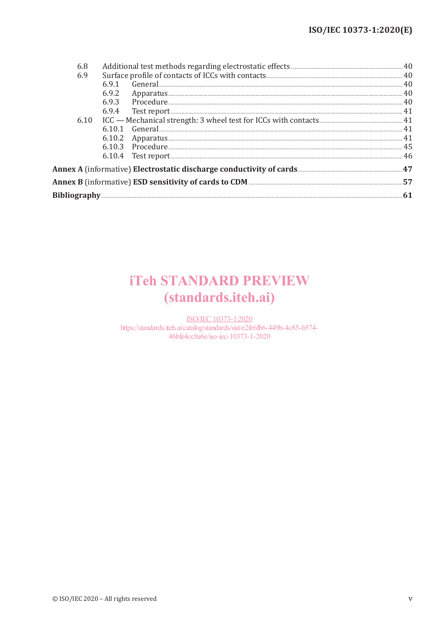| 6.8  |       |       |
|------|-------|-------|
| 6.9  |       |       |
|      | 6.9.1 | 40    |
|      |       | 40    |
|      |       | -40   |
|      |       |       |
| 6.10 |       |       |
|      |       |       |
|      |       | $-41$ |
|      |       | -45   |
|      |       |       |
|      |       |       |
|      |       |       |
|      |       |       |

## **iTeh STANDARD PREVIEW** (standards.iteh.ai)

ISO/IEC 10373-1:2020 https://standards.iteh.ai/catalog/standards/sist/e2fe6fb6-449b-4c85-b574-46bfe4cc8a6e/iso-iec-10373-1-2020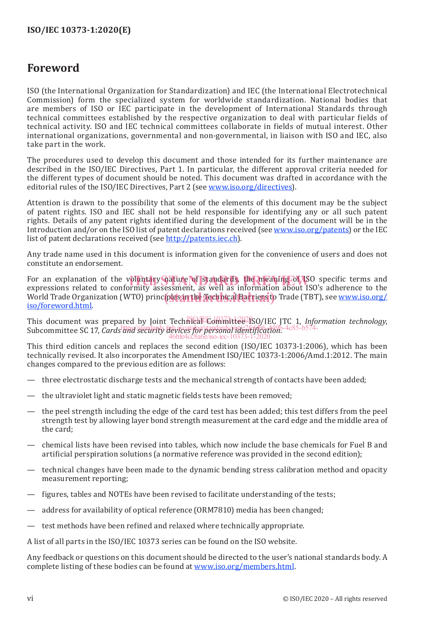### **Foreword**

ISO (the International Organization for Standardization) and IEC (the International Electrotechnical Commission) form the specialized system for worldwide standardization. National bodies that are members of ISO or IEC participate in the development of International Standards through technical committees established by the respective organization to deal with particular fields of technical activity. ISO and IEC technical committees collaborate in fields of mutual interest. Other international organizations, governmental and non-governmental, in liaison with ISO and IEC, also take part in the work.

The procedures used to develop this document and those intended for its further maintenance are described in the ISO/IEC Directives, Part 1. In particular, the different approval criteria needed for the different types of document should be noted. This document was drafted in accordance with the editorial rules of the ISO/IEC Directives, Part 2 (see www.iso.org/directives).

Attention is drawn to the possibility that some of the elements of this document may be the subject of patent rights. ISO and IEC shall not be held responsible for identifying any or all such patent rights. Details of any patent rights identified during the development of the document will be in the Introduction and/or on the ISO list of patent declarations received (see www.iso.org/patents) or the IEC list of patent declarations received (see http://patents.iec.ch).

Any trade name used in this document is information given for the convenience of users and does not constitute an endorsement.

For an explanation of the voluntary nature of standards, the meaning of ISO specific terms and<br>expressions related to conformity assessment, as well as information about ISO's adherence to the expressions related to conformity assessment, as well as information about ISO's adherence to the enpressions related to conformity assessment, as went as information assat loss a difference to the<br>World Trade Organization (WTO) principles anthe Technical Barriers to Trade (TBT), see www.iso.org/ iso/foreword.html.

This document was prepared by Joint Technical Committee 1560/IEC JTC 1, *Information technology*, and accuracity was property devices for personal identification. 46bfe4cc8a6e/iso-iec-10373-1-2020

This third edition cancels and replaces the second edition (ISO/IEC 10373-1:2006), which has been technically revised. It also incorporates the Amendment ISO/IEC 10373-1:2006/Amd.1:2012. The main changes compared to the previous edition are as follows:

- three electrostatic discharge tests and the mechanical strength of contacts have been added;
- the ultraviolet light and static magnetic fields tests have been removed;
- the peel strength including the edge of the card test has been added; this test differs from the peel strength test by allowing layer bond strength measurement at the card edge and the middle area of the card;
- chemical lists have been revised into tables, which now include the base chemicals for Fuel B and artificial perspiration solutions (a normative reference was provided in the second edition);
- technical changes have been made to the dynamic bending stress calibration method and opacity measurement reporting;
- figures, tables and NOTEs have been revised to facilitate understanding of the tests;
- address for availability of optical reference (ORM7810) media has been changed;
- test methods have been refined and relaxed where technically appropriate.

A list of all parts in the ISO/IEC 10373 series can be found on the ISO website.

Any feedback or questions on this document should be directed to the user's national standards body. A complete listing of these bodies can be found at www.iso.org/members.html.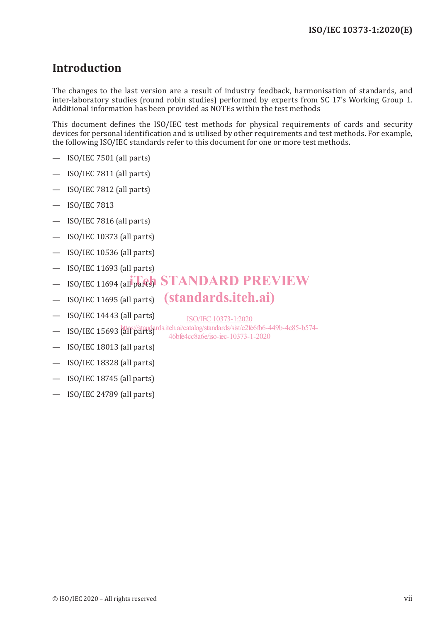### **Introduction**

The changes to the last version are a result of industry feedback, harmonisation of standards, and inter-laboratory studies (round robin studies) performed by experts from SC 17's Working Group 1. Additional information has been provided as NOTEs within the test methods

This document defines the ISO/IEC test methods for physical requirements of cards and security devices for personal identification and is utilised by other requirements and test methods. For example, the following ISO/IEC standards refer to this document for one or more test methods.

- ISO/IEC 7501 (all parts)
- ISO/IEC 7811 (all parts)
- ISO/IEC 7812 (all parts)
- ISO/IEC 7813
- ISO/IEC 7816 (all parts)
- ISO/IEC 10373 (all parts)
- ISO/IEC 10536 (all parts)
- ISO/IEC 11693 (all parts)
- ISO/IEC 11694 (all parts) STANDARD PREVIEW
- $-$  ISO/IEC 11695 (all parts)
- ISO/IEC 14443 (all parts)
- $-$  ISO/IEC 15693 (all parts) standards.iteh.ai/catalog/standards/sist/e2fe6fb6-449b-4c85-b574-<br>46bfe4cc8a6e/iso-iso-iso-10373-1-2020 46bfe4cc8a6e/iso-iec-10373-1-2020
- ISO/IEC 18013 (all parts)
- ISO/IEC 18328 (all parts)
- ISO/IEC 18745 (all parts)
- ISO/IEC 24789 (all parts)

### ISO/IEC 10373-1:2020

(standards.iteh.ai)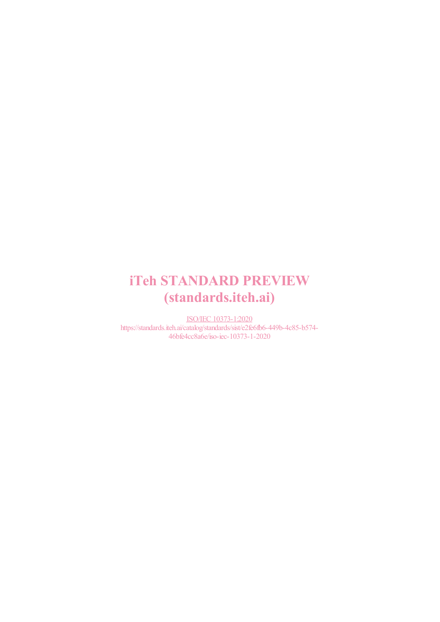## iTeh STANDARD PREVIEW (standards.iteh.ai)

ISO/IEC 10373-1:2020 https://standards.iteh.ai/catalog/standards/sist/e2fe6fb6-449b-4c85-b574- 46bfe4cc8a6e/iso-iec-10373-1-2020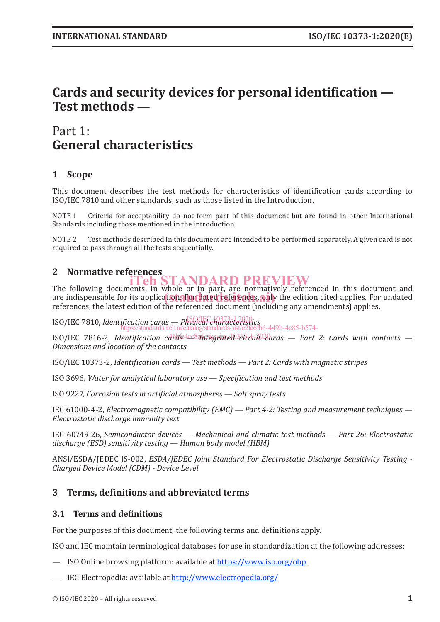### **Cards and security devices for personal identification — Test methods —**

### Part 1: **General characteristics**

### **1 Scope**

This document describes the test methods for characteristics of identification cards according to ISO/IEC 7810 and other standards, such as those listed in the Introduction.

NOTE 1 Criteria for acceptability do not form part of this document but are found in other International Standards including those mentioned in the introduction.

NOTE 2 Test methods described in this document are intended to be performed separately. A given card is not required to pass through all the tests sequentially.

### **2 Normative references**

The following documents, in whole or in part, are normatively referenced in this document and The following documents, in whole or in part, are normatively referenced in this document and are indispensable for its application. For dated references, only the edition cited applies. For undated references the latest edition of the referenced degunant (including our among monte) applies. references, the latest edition of the referenced document (including any amendments) applies.

 $\text{ISO}/\text{IEC}$  7810, *Identification cards* — *Physical characteristics* https://standards.iteh.ai/catalog/standards/sist/e2fe6fb6-449b-4c85-b574-

ISO/IEC 7816-2, Identification cards<sup>4cc8</sup>4mtegrated<sup>3</sup>dircuit<sup>02</sup>ards — Part 2: Cards with contacts — *Dimensions and location of the contacts*

ISO/IEC 10373-2, *Identification cards — Test methods — Part 2: Cards with magnetic stripes*

ISO 3696, *Water for analytical laboratory use — Specification and test methods*

ISO 9227, *Corrosion tests in artificial atmospheres — Salt spray tests*

IEC 61000-4-2, *Electromagnetic compatibility (EMC) — Part 4-2: Testing and measurement techniques — Electrostatic discharge immunity test*

IEC 60749-26, *Semiconductor devices — Mechanical and climatic test methods — Part 26: Electrostatic discharge (ESD) sensitivity testing — Human body model (HBM)*

ANSI/ESDA/JEDEC JS-002, *ESDA/JEDEC Joint Standard For Electrostatic Discharge Sensitivity Testing - Charged Device Model (CDM) - Device Level*

### **3 Terms, definitions and abbreviated terms**

### **3.1 Terms and definitions**

For the purposes of this document, the following terms and definitions apply.

ISO and IEC maintain terminological databases for use in standardization at the following addresses:

- ISO Online browsing platform: available at https://www.iso.org/obp
- IEC Electropedia: available at http://www.electropedia.org/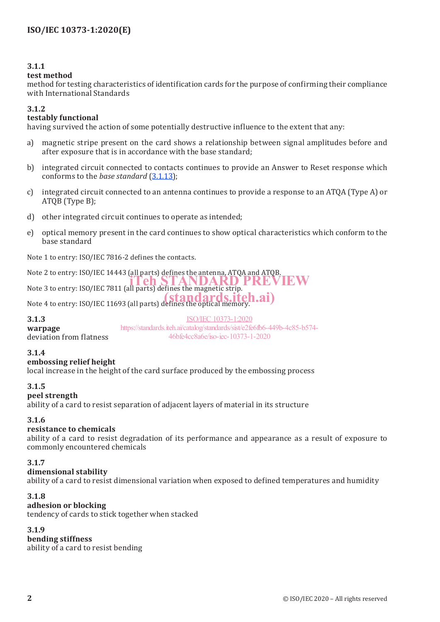### **3.1.1**

### **test method**

method for testing characteristics of identification cards for the purpose of confirming their compliance with International Standards

### **3.1.2**

### **testably functional**

having survived the action of some potentially destructive influence to the extent that any:

- a) magnetic stripe present on the card shows a relationship between signal amplitudes before and after exposure that is in accordance with the base standard;
- b) integrated circuit connected to contacts continues to provide an Answer to Reset response which conforms to the *base standard* (3.1.13);
- c) integrated circuit connected to an antenna continues to provide a response to an ATQA (Type A) or ATQB (Type B);
- d) other integrated circuit continues to operate as intended;
- e) optical memory present in the card continues to show optical characteristics which conform to the base standard

Note 1 to entry: ISO/IEC 7816-2 defines the contacts.

Note 2 to entry: ISO/IEC 14443 (all parts) defines the antenna, ATQA and ATQB. Note 3 to entry: ISO/IEC 14445 (all parts) defines the antenna, AT VARD PREVIEW

Note 5 to entry: ISO/IEC 11693 (all parts) defines the magnetic strip.<br>Note 4 to entry: ISO/IEC 11693 (all parts) defines the optical memory.

### **3.1.3**

**warpage** deviation from flatness ISO/IEC 10373-1:2020 https://standards.iteh.ai/catalog/standards/sist/e2fe6fb6-449b-4c85-b574- 46bfe4cc8a6e/iso-iec-10373-1-2020

### **3.1.4**

**embossing relief height**

local increase in the height of the card surface produced by the embossing process

### **3.1.5**

### **peel strength**

ability of a card to resist separation of adjacent layers of material in its structure

### **3.1.6**

### **resistance to chemicals**

ability of a card to resist degradation of its performance and appearance as a result of exposure to commonly encountered chemicals

### **3.1.7**

### **dimensional stability**

ability of a card to resist dimensional variation when exposed to defined temperatures and humidity

### **3.1.8**

### **adhesion or blocking**

tendency of cards to stick together when stacked

### **3.1.9**

**bending stiffness**

ability of a card to resist bending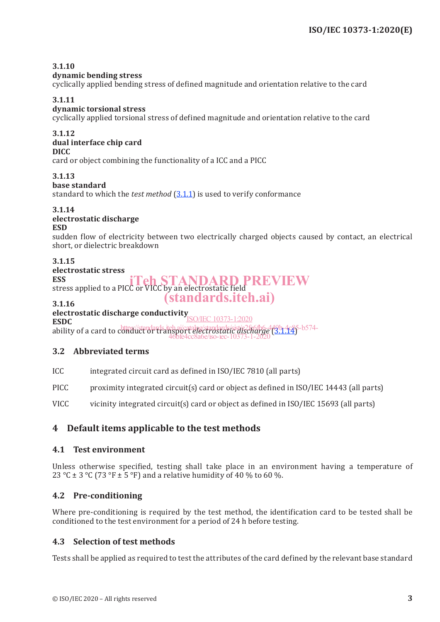### **3.1.10**

### **dynamic bending stress**

cyclically applied bending stress of defined magnitude and orientation relative to the card

### **3.1.11**

### **dynamic torsional stress**

cyclically applied torsional stress of defined magnitude and orientation relative to the card

#### **3.1.12 dual interface chip card DICC**

card or object combining the functionality of a ICC and a PICC

### **3.1.13**

### **base standard**

standard to which the *test method* (3.1.1) is used to verify conformance

### **3.1.14 electrostatic discharge ESD**

sudden flow of electricity between two electrically charged objects caused by contact, an electrical short, or dielectric breakdown

### **3.1.15**

#### **electrostatic stress ESS** stress applied to a PICC or VICC by an electrostatic field STANDARD PREVIEW (standards.iteh.ai)

#### **3.1.16 electrostatic discharge conductivity ESDC** ability of a card to comduct or transportation and crisis of Charge (3.1.14)<sup>-b574-</sup>  $O/IEC$  103 46bfe4cc8a6e/iso-iec-10373-1-2020

### **3.2 Abbreviated terms**

ICC integrated circuit card as defined in ISO/IEC 7810 (all parts)

PICC proximity integrated circuit(s) card or object as defined in ISO/IEC 14443 (all parts)

VICC vicinity integrated circuit(s) card or object as defined in ISO/IEC 15693 (all parts)

### **4 Default items applicable to the test methods**

### **4.1 Test environment**

Unless otherwise specified, testing shall take place in an environment having a temperature of 23 °C  $\pm$  3 °C (73 °F  $\pm$  5 °F) and a relative humidity of 40 % to 60 %.

### **4.2 Pre-conditioning**

Where pre-conditioning is required by the test method, the identification card to be tested shall be conditioned to the test environment for a period of 24 h before testing.

### **4.3 Selection of test methods**

Tests shall be applied as required to test the attributes of the card defined by the relevant base standard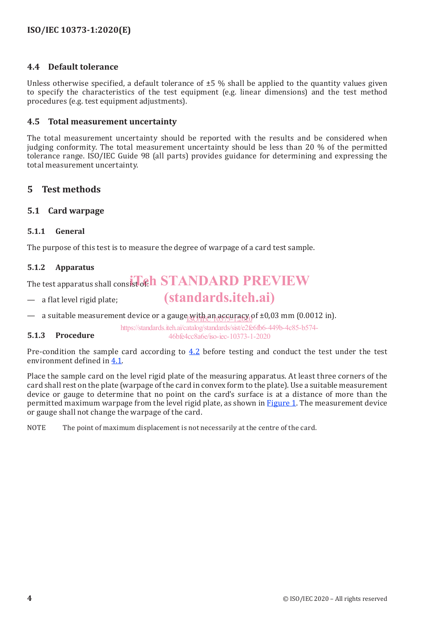### **4.4 Default tolerance**

Unless otherwise specified, a default tolerance of  $\pm 5$  % shall be applied to the quantity values given to specify the characteristics of the test equipment (e.g. linear dimensions) and the test method procedures (e.g. test equipment adjustments).

### **4.5 Total measurement uncertainty**

The total measurement uncertainty should be reported with the results and be considered when judging conformity. The total measurement uncertainty should be less than 20 % of the permitted tolerance range. ISO/IEC Guide 98 (all parts) provides guidance for determining and expressing the total measurement uncertainty.

### **5 Test methods**

### **5.1 Card warpage**

### **5.1.1 General**

The purpose of this test is to measure the degree of warpage of a card test sample.

### **5.1.2 Apparatus**

**5.1.3 Procedure**

The test apparatus shall consist of h  $\bf STANDARD \ PREVIEW$ 

— a flat level rigid plate;

### — a suitable measurement device or a gauge <u>with an accuracy of ±0,03 mm</u> (0.0012 in).

https://standards.iteh.ai/catalog/standards/sist/e2fe6fb6-449b-4c85-b574- 46bfe4cc8a6e/iso-iec-10373-1-2020

(standards.iteh.ai)

### Pre-condition the sample card according to 4.2 before testing and conduct the test under the test environment defined in 4.1.

Place the sample card on the level rigid plate of the measuring apparatus. At least three corners of the card shall rest on the plate (warpage of the card in convex form to the plate). Use a suitable measurement device or gauge to determine that no point on the card's surface is at a distance of more than the permitted maximum warpage from the level rigid plate, as shown in Figure 1. The measurement device or gauge shall not change the warpage of the card.

NOTE The point of maximum displacement is not necessarily at the centre of the card.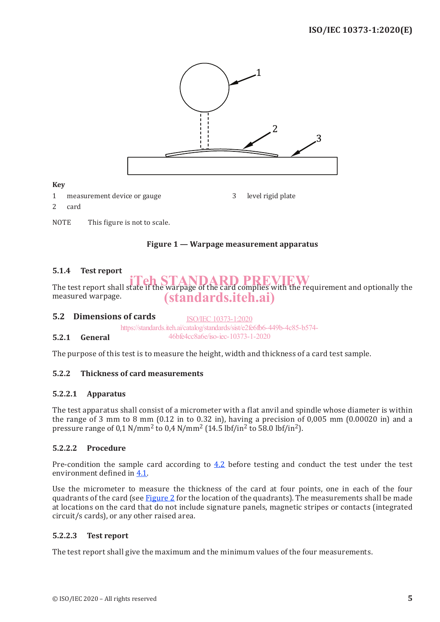

### **Key**

1 measurement device or gauge 3 level rigid plate

2 card

NOTE This figure is not to scale.

### **Figure 1 — Warpage measurement apparatus**

### **5.1.4 Test report**

The test report shall state if the warpage of the card complies with the requirement and optionally the measured warpage. (standards.iteh.ai)

### **5.2 Dimensions of cards**

ISO/IEC 10373-1:2020 https://standards.iteh.ai/catalog/standards/sist/e2fe6fb6-449b-4c85-b574- 46bfe4cc8a6e/iso-iec-10373-1-2020

### **5.2.1 General**

The purpose of this test is to measure the height, width and thickness of a card test sample.

### **5.2.2 Thickness of card measurements**

### **5.2.2.1 Apparatus**

The test apparatus shall consist of a micrometer with a flat anvil and spindle whose diameter is within the range of 3 mm to 8 mm (0.12 in to 0.32 in), having a precision of 0,005 mm (0.00020 in) and a pressure range of 0,1 N/mm<sup>2</sup> to 0,4 N/mm<sup>2</sup> (14.5 lbf/in<sup>2</sup> to 58.0 lbf/in<sup>2</sup>).

### **5.2.2.2 Procedure**

Pre-condition the sample card according to  $4.2$  before testing and conduct the test under the test environment defined in 4.1.

Use the micrometer to measure the thickness of the card at four points, one in each of the four quadrants of the card (see Figure 2 for the location of the quadrants). The measurements shall be made at locations on the card that do not include signature panels, magnetic stripes or contacts (integrated circuit/s cards), or any other raised area.

### **5.2.2.3 Test report**

The test report shall give the maximum and the minimum values of the four measurements.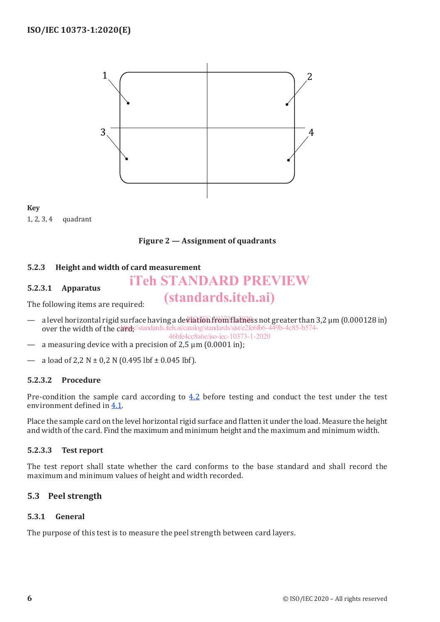

### **Key**

1, 2, 3, 4 quadrant

**5.2.3.1 Apparatus**



### **5.2.3 Height and width of card measurement**

## iTeh STANDARD PREVIEW (standards.iteh.ai)

The following items are required:

- a level horizontal rigid surface having a deviation from flatness not greater than 3,2 μm (0.000128 in) over the width of the card;//standards.iteh.ai/catalog/standards/sist/e2fe6fb6-449b-4c85-b574-46bfe4cc8a6e/iso-iec-10373-1-2020
- a measuring device with a precision of 2,5  $\mu$ m (0.0001 in);
- a load of 2,2 N  $\pm$  0,2 N (0.495 lbf  $\pm$  0.045 lbf).

### **5.2.3.2 Procedure**

Pre-condition the sample card according to  $4.2$  before testing and conduct the test under the test environment defined in 4.1.

Place the sample card on the level horizontal rigid surface and flatten it under the load. Measure the height and width of the card. Find the maximum and minimum height and the maximum and minimum width.

### **5.2.3.3 Test report**

The test report shall state whether the card conforms to the base standard and shall record the maximum and minimum values of height and width recorded.

### **5.3 Peel strength**

### **5.3.1 General**

The purpose of this test is to measure the peel strength between card layers.